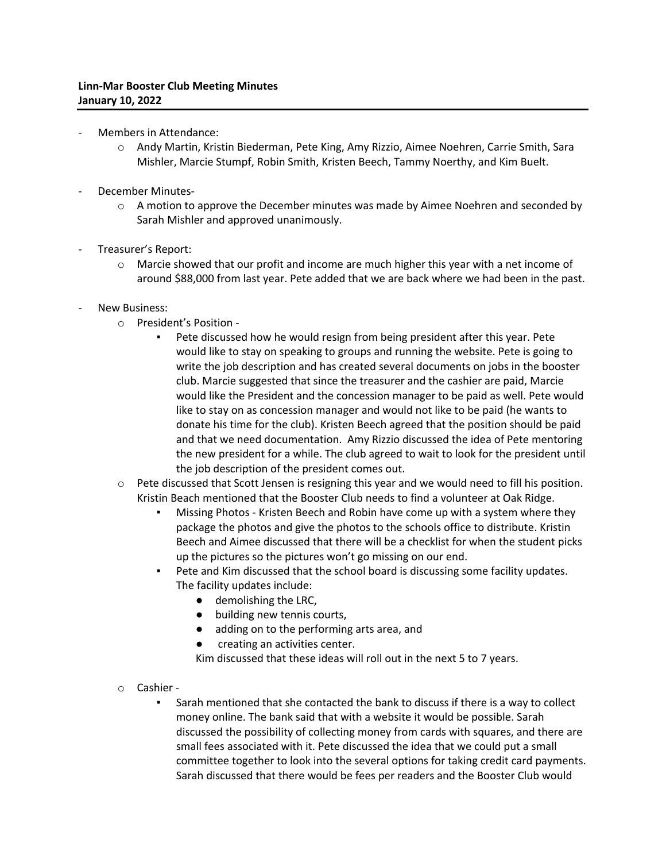- Members in Attendance:
	- o Andy Martin, Kristin Biederman, Pete King, Amy Rizzio, Aimee Noehren, Carrie Smith, Sara Mishler, Marcie Stumpf, Robin Smith, Kristen Beech, Tammy Noerthy, and Kim Buelt.
- December Minutes-
	- $\circ$  A motion to approve the December minutes was made by Aimee Noehren and seconded by Sarah Mishler and approved unanimously.
- Treasurer's Report:
	- $\circ$  Marcie showed that our profit and income are much higher this year with a net income of around \$88,000 from last year. Pete added that we are back where we had been in the past.
- New Business:
	- o President's Position
		- Pete discussed how he would resign from being president after this year. Pete would like to stay on speaking to groups and running the website. Pete is going to write the job description and has created several documents on jobs in the booster club. Marcie suggested that since the treasurer and the cashier are paid, Marcie would like the President and the concession manager to be paid as well. Pete would like to stay on as concession manager and would not like to be paid (he wants to donate his time for the club). Kristen Beech agreed that the position should be paid and that we need documentation. Amy Rizzio discussed the idea of Pete mentoring the new president for a while. The club agreed to wait to look for the president until the job description of the president comes out.
	- o Pete discussed that Scott Jensen is resigning this year and we would need to fill his position. Kristin Beach mentioned that the Booster Club needs to find a volunteer at Oak Ridge.
		- **Missing Photos Kristen Beech and Robin have come up with a system where they** package the photos and give the photos to the schools office to distribute. Kristin Beech and Aimee discussed that there will be a checklist for when the student picks up the pictures so the pictures won't go missing on our end.
		- Pete and Kim discussed that the school board is discussing some facility updates. The facility updates include:
			- demolishing the LRC,
			- building new tennis courts,
			- adding on to the performing arts area, and
			- creating an activities center.
			- Kim discussed that these ideas will roll out in the next 5 to 7 years.
	- o Cashier
		- Sarah mentioned that she contacted the bank to discuss if there is a way to collect money online. The bank said that with a website it would be possible. Sarah discussed the possibility of collecting money from cards with squares, and there are small fees associated with it. Pete discussed the idea that we could put a small committee together to look into the several options for taking credit card payments. Sarah discussed that there would be fees per readers and the Booster Club would